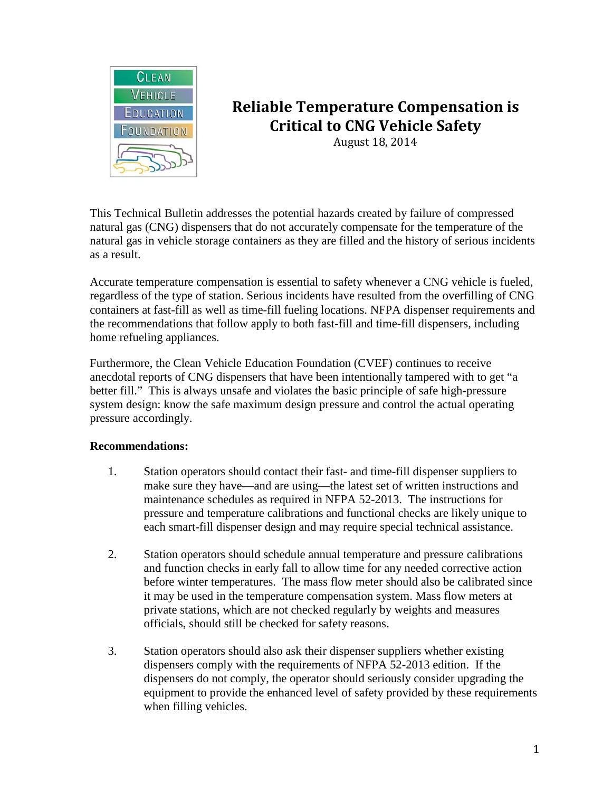

# **Reliable Temperature Compensation is Critical to CNG Vehicle Safety**

August 18, 2014

This Technical Bulletin addresses the potential hazards created by failure of compressed natural gas (CNG) dispensers that do not accurately compensate for the temperature of the natural gas in vehicle storage containers as they are filled and the history of serious incidents as a result.

Accurate temperature compensation is essential to safety whenever a CNG vehicle is fueled, regardless of the type of station. Serious incidents have resulted from the overfilling of CNG containers at fast-fill as well as time-fill fueling locations. NFPA dispenser requirements and the recommendations that follow apply to both fast-fill and time-fill dispensers, including home refueling appliances.

Furthermore, the Clean Vehicle Education Foundation (CVEF) continues to receive anecdotal reports of CNG dispensers that have been intentionally tampered with to get "a better fill." This is always unsafe and violates the basic principle of safe high-pressure system design: know the safe maximum design pressure and control the actual operating pressure accordingly.

## **Recommendations:**

- 1. Station operators should contact their fast- and time-fill dispenser suppliers to make sure they have—and are using—the latest set of written instructions and maintenance schedules as required in NFPA 52-2013. The instructions for pressure and temperature calibrations and functional checks are likely unique to each smart-fill dispenser design and may require special technical assistance.
- 2. Station operators should schedule annual temperature and pressure calibrations and function checks in early fall to allow time for any needed corrective action before winter temperatures. The mass flow meter should also be calibrated since it may be used in the temperature compensation system. Mass flow meters at private stations, which are not checked regularly by weights and measures officials, should still be checked for safety reasons.
- 3. Station operators should also ask their dispenser suppliers whether existing dispensers comply with the requirements of NFPA 52-2013 edition. If the dispensers do not comply, the operator should seriously consider upgrading the equipment to provide the enhanced level of safety provided by these requirements when filling vehicles.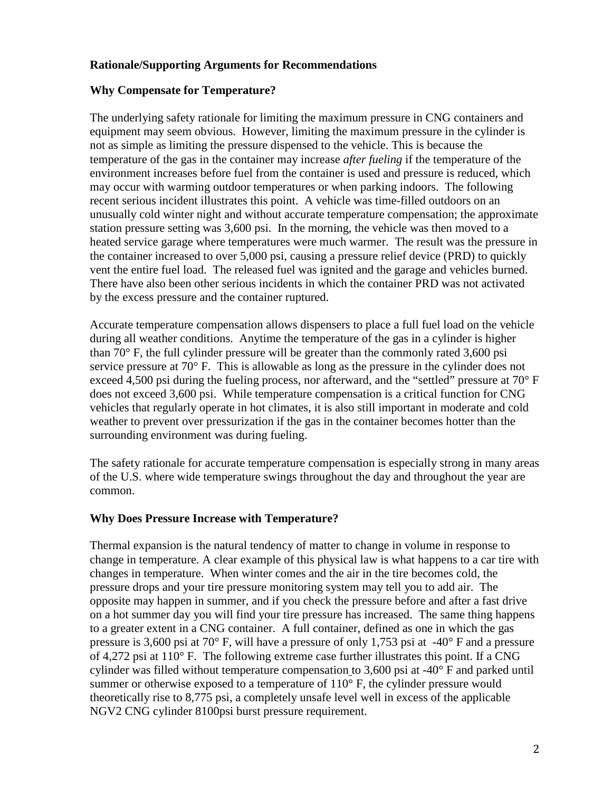## **Rationale/Supporting Arguments for Recommendations**

## **Why Compensate for Temperature?**

The underlying safety rationale for limiting the maximum pressure in CNG containers and equipment may seem obvious. However, limiting the maximum pressure in the cylinder is not as simple as limiting the pressure dispensed to the vehicle. This is because the temperature of the gas in the container may increase *after fueling* if the temperature of the environment increases before fuel from the container is used and pressure is reduced, which may occur with warming outdoor temperatures or when parking indoors. The following recent serious incident illustrates this point. A vehicle was time-filled outdoors on an unusually cold winter night and without accurate temperature compensation; the approximate station pressure setting was 3,600 psi. In the morning, the vehicle was then moved to a heated service garage where temperatures were much warmer. The result was the pressure in the container increased to over 5,000 psi, causing a pressure relief device (PRD) to quickly vent the entire fuel load. The released fuel was ignited and the garage and vehicles burned. There have also been other serious incidents in which the container PRD was not activated by the excess pressure and the container ruptured.

Accurate temperature compensation allows dispensers to place a full fuel load on the vehicle during all weather conditions. Anytime the temperature of the gas in a cylinder is higher than 70° F, the full cylinder pressure will be greater than the commonly rated 3,600 psi service pressure at 70° F. This is allowable as long as the pressure in the cylinder does not exceed 4,500 psi during the fueling process, nor afterward, and the "settled" pressure at 70° F does not exceed 3,600 psi. While temperature compensation is a critical function for CNG vehicles that regularly operate in hot climates, it is also still important in moderate and cold weather to prevent over pressurization if the gas in the container becomes hotter than the surrounding environment was during fueling.

The safety rationale for accurate temperature compensation is especially strong in many areas of the U.S. where wide temperature swings throughout the day and throughout the year are common.

#### **Why Does Pressure Increase with Temperature?**

Thermal expansion is the natural tendency of matter to change in volume in response to change in temperature. A clear example of this physical law is what happens to a car tire with changes in temperature. When winter comes and the air in the tire becomes cold, the pressure drops and your tire pressure monitoring system may tell you to add air. The opposite may happen in summer, and if you check the pressure before and after a fast drive on a hot summer day you will find your tire pressure has increased. The same thing happens to a greater extent in a CNG container. A full container, defined as one in which the gas pressure is 3,600 psi at 70 $\degree$  F, will have a pressure of only 1,753 psi at -40 $\degree$  F and a pressure of 4,272 psi at 110° F. The following extreme case further illustrates this point. If a CNG cylinder was filled without temperature compensation to 3,600 psi at -40° F and parked until summer or otherwise exposed to a temperature of  $110^{\circ}$  F, the cylinder pressure would theoretically rise to 8,775 psi, a completely unsafe level well in excess of the applicable NGV2 CNG cylinder 8100psi burst pressure requirement.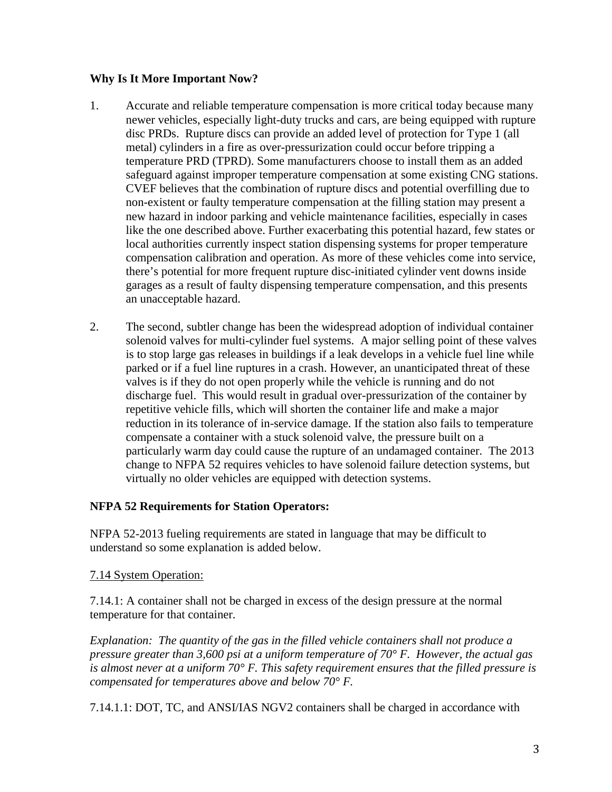## **Why Is It More Important Now?**

- 1. Accurate and reliable temperature compensation is more critical today because many newer vehicles, especially light-duty trucks and cars, are being equipped with rupture disc PRDs. Rupture discs can provide an added level of protection for Type 1 (all metal) cylinders in a fire as over-pressurization could occur before tripping a temperature PRD (TPRD). Some manufacturers choose to install them as an added safeguard against improper temperature compensation at some existing CNG stations. CVEF believes that the combination of rupture discs and potential overfilling due to non-existent or faulty temperature compensation at the filling station may present a new hazard in indoor parking and vehicle maintenance facilities, especially in cases like the one described above. Further exacerbating this potential hazard, few states or local authorities currently inspect station dispensing systems for proper temperature compensation calibration and operation. As more of these vehicles come into service, there's potential for more frequent rupture disc-initiated cylinder vent downs inside garages as a result of faulty dispensing temperature compensation, and this presents an unacceptable hazard.
- 2. The second, subtler change has been the widespread adoption of individual container solenoid valves for multi-cylinder fuel systems. A major selling point of these valves is to stop large gas releases in buildings if a leak develops in a vehicle fuel line while parked or if a fuel line ruptures in a crash. However, an unanticipated threat of these valves is if they do not open properly while the vehicle is running and do not discharge fuel. This would result in gradual over-pressurization of the container by repetitive vehicle fills, which will shorten the container life and make a major reduction in its tolerance of in-service damage. If the station also fails to temperature compensate a container with a stuck solenoid valve, the pressure built on a particularly warm day could cause the rupture of an undamaged container. The 2013 change to NFPA 52 requires vehicles to have solenoid failure detection systems, but virtually no older vehicles are equipped with detection systems.

## **NFPA 52 Requirements for Station Operators:**

NFPA 52-2013 fueling requirements are stated in language that may be difficult to understand so some explanation is added below.

#### 7.14 System Operation:

7.14.1: A container shall not be charged in excess of the design pressure at the normal temperature for that container.

*Explanation:**The quantity of the gas in the filled vehicle containers shall not produce a pressure greater than 3,600 psi at a uniform temperature of 70° F. However, the actual gas is almost never at a uniform 70° F. This safety requirement ensures that the filled pressure is compensated for temperatures above and below 70° F.*

7.14.1.1: DOT, TC, and ANSI/IAS NGV2 containers shall be charged in accordance with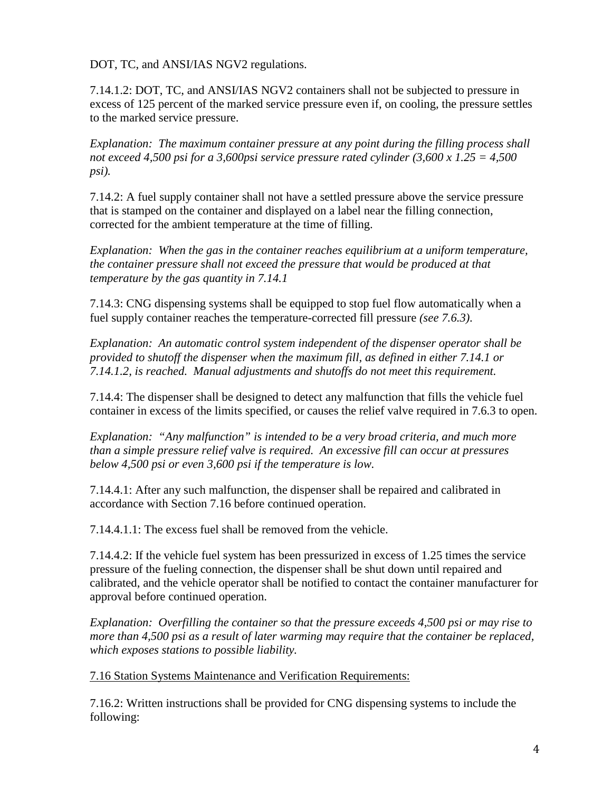DOT, TC, and ANSI/IAS NGV2 regulations.

7.14.1.2: DOT, TC, and ANSI/IAS NGV2 containers shall not be subjected to pressure in excess of 125 percent of the marked service pressure even if, on cooling, the pressure settles to the marked service pressure.

*Explanation:**The maximum container pressure at any point during the filling process shall not exceed 4,500 psi for a 3,600psi service pressure rated cylinder (3,600 x 1.25 = 4,500 psi).*

7.14.2: A fuel supply container shall not have a settled pressure above the service pressure that is stamped on the container and displayed on a label near the filling connection, corrected for the ambient temperature at the time of filling.

*Explanation:**When the gas in the container reaches equilibrium at a uniform temperature, the container pressure shall not exceed the pressure that would be produced at that temperature by the gas quantity in 7.14.1* 

7.14.3: CNG dispensing systems shall be equipped to stop fuel flow automatically when a fuel supply container reaches the temperature-corrected fill pressure *(see 7.6.3)*.

*Explanation:**An automatic control system independent of the dispenser operator shall be provided to shutoff the dispenser when the maximum fill, as defined in either 7.14.1 or 7.14.1.2, is reached. Manual adjustments and shutoffs do not meet this requirement.*

7.14.4: The dispenser shall be designed to detect any malfunction that fills the vehicle fuel container in excess of the limits specified, or causes the relief valve required in 7.6.3 to open.

*Explanation:**"Any malfunction" is intended to be a very broad criteria, and much more than a simple pressure relief valve is required. An excessive fill can occur at pressures below 4,500 psi or even 3,600 psi if the temperature is low.*

7.14.4.1: After any such malfunction, the dispenser shall be repaired and calibrated in accordance with Section 7.16 before continued operation.

7.14.4.1.1: The excess fuel shall be removed from the vehicle.

7.14.4.2: If the vehicle fuel system has been pressurized in excess of 1.25 times the service pressure of the fueling connection, the dispenser shall be shut down until repaired and calibrated, and the vehicle operator shall be notified to contact the container manufacturer for approval before continued operation.

*Explanation:**Overfilling the container so that the pressure exceeds 4,500 psi or may rise to more than 4,500 psi as a result of later warming may require that the container be replaced, which exposes stations to possible liability.* 

7.16 Station Systems Maintenance and Verification Requirements:

7.16.2: Written instructions shall be provided for CNG dispensing systems to include the following: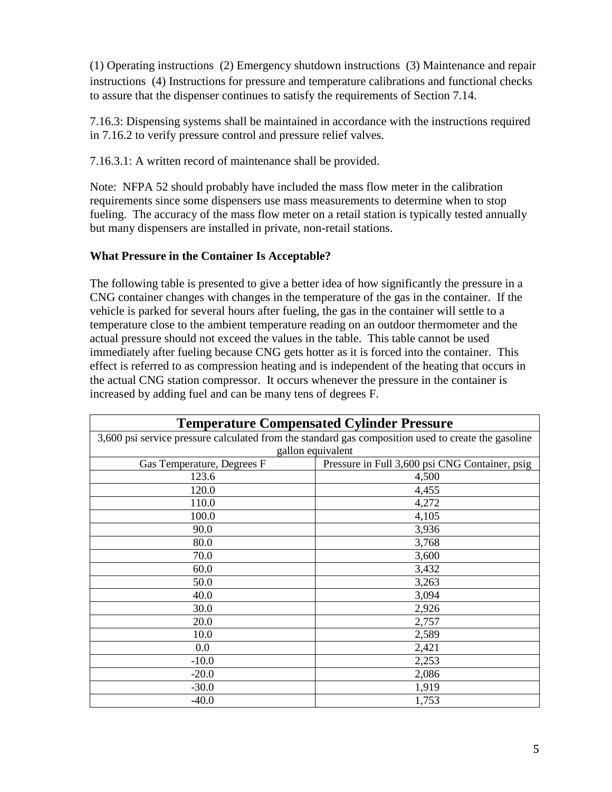(1) Operating instructions (2) Emergency shutdown instructions (3) Maintenance and repair instructions (4) Instructions for pressure and temperature calibrations and functional checks to assure that the dispenser continues to satisfy the requirements of Section 7.14.

7.16.3: Dispensing systems shall be maintained in accordance with the instructions required in 7.16.2 to verify pressure control and pressure relief valves.

7.16.3.1: A written record of maintenance shall be provided.

Note: NFPA 52 should probably have included the mass flow meter in the calibration requirements since some dispensers use mass measurements to determine when to stop fueling. The accuracy of the mass flow meter on a retail station is typically tested annually but many dispensers are installed in private, non-retail stations.

## **What Pressure in the Container Is Acceptable?**

The following table is presented to give a better idea of how significantly the pressure in a CNG container changes with changes in the temperature of the gas in the container. If the vehicle is parked for several hours after fueling, the gas in the container will settle to a temperature close to the ambient temperature reading on an outdoor thermometer and the actual pressure should not exceed the values in the table. This table cannot be used immediately after fueling because CNG gets hotter as it is forced into the container. This effect is referred to as compression heating and is independent of the heating that occurs in the actual CNG station compressor. It occurs whenever the pressure in the container is increased by adding fuel and can be many tens of degrees F.

| <b>Temperature Compensated Cylinder Pressure</b>                                                    |                                                |
|-----------------------------------------------------------------------------------------------------|------------------------------------------------|
| 3,600 psi service pressure calculated from the standard gas composition used to create the gasoline |                                                |
| gallon equivalent                                                                                   |                                                |
| Gas Temperature, Degrees F                                                                          | Pressure in Full 3,600 psi CNG Container, psig |
| 123.6                                                                                               | 4,500                                          |
| 120.0                                                                                               | 4,455                                          |
| 110.0                                                                                               | 4,272                                          |
| 100.0                                                                                               | 4,105                                          |
| 90.0                                                                                                | 3,936                                          |
| 80.0                                                                                                | 3,768                                          |
| 70.0                                                                                                | 3,600                                          |
| 60.0                                                                                                | 3,432                                          |
| 50.0                                                                                                | 3,263                                          |
| 40.0                                                                                                | 3,094                                          |
| 30.0                                                                                                | 2,926                                          |
| 20.0                                                                                                | 2,757                                          |
| 10.0                                                                                                | 2,589                                          |
| 0.0                                                                                                 | 2,421                                          |
| $-10.0$                                                                                             | 2,253                                          |
| $-20.0$                                                                                             | 2,086                                          |
| $-30.0$                                                                                             | 1,919                                          |
| $-40.0$                                                                                             | 1,753                                          |